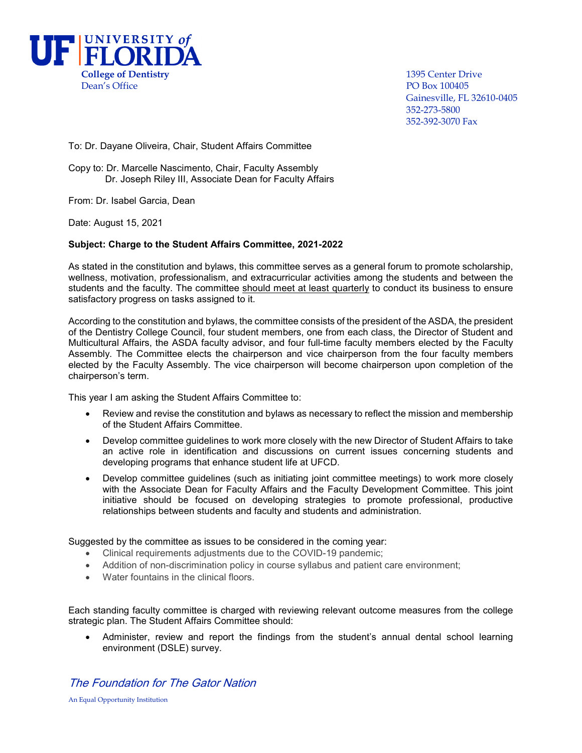

 Gainesville, FL 32610-0405 352-273-5800 352-392-3070 Fax

To: Dr. Dayane Oliveira, Chair, Student Affairs Committee

Copy to: Dr. Marcelle Nascimento, Chair, Faculty Assembly Dr. Joseph Riley III, Associate Dean for Faculty Affairs

From: Dr. Isabel Garcia, Dean

Date: August 15, 2021

## **Subject: Charge to the Student Affairs Committee, 2021-2022**

As stated in the constitution and bylaws, this committee serves as a general forum to promote scholarship, wellness, motivation, professionalism, and extracurricular activities among the students and between the students and the faculty. The committee should meet at least quarterly to conduct its business to ensure satisfactory progress on tasks assigned to it.

According to the constitution and bylaws, the committee consists of the president of the ASDA, the president of the Dentistry College Council, four student members, one from each class, the Director of Student and Multicultural Affairs, the ASDA faculty advisor, and four full-time faculty members elected by the Faculty Assembly. The Committee elects the chairperson and vice chairperson from the four faculty members elected by the Faculty Assembly. The vice chairperson will become chairperson upon completion of the chairperson's term.

This year I am asking the Student Affairs Committee to:

- Review and revise the constitution and bylaws as necessary to reflect the mission and membership of the Student Affairs Committee.
- Develop committee guidelines to work more closely with the new Director of Student Affairs to take an active role in identification and discussions on current issues concerning students and developing programs that enhance student life at UFCD.
- Develop committee guidelines (such as initiating joint committee meetings) to work more closely with the Associate Dean for Faculty Affairs and the Faculty Development Committee. This joint initiative should be focused on developing strategies to promote professional, productive relationships between students and faculty and students and administration.

Suggested by the committee as issues to be considered in the coming year:

- Clinical requirements adjustments due to the COVID-19 pandemic;
- Addition of non-discrimination policy in course syllabus and patient care environment;
- Water fountains in the clinical floors.

Each standing faculty committee is charged with reviewing relevant outcome measures from the college strategic plan. The Student Affairs Committee should:

• Administer, review and report the findings from the student's annual dental school learning environment (DSLE) survey.

## The Foundation for The Gator Nation